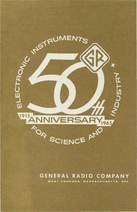

## **GENERAL RADIO COMPANY**

WEST CONCORD, MASSACHUSETTS, USA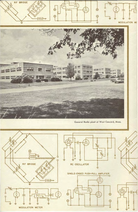

General Radio plant at West Concord, Mass.

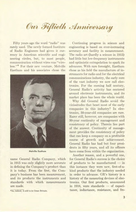## Our Fiftieth Anniversary

Fifty years ago the word "radio" was rarely used. The newly formed Institute of Radio Engineers had given it currency in American scientific and engineering circles, but, to most people, communication without wires was "wireless."\* For their new venture, Melville Eastham and his associates chose the



Melville Eastham

name General Radio Company, which in 1915 was only slightly more accurate in defining the Company's product than it is today. From the first, the Company's business has been measurement, and its products the instruments and standards with which measurements are made.

**\*As, indeed, it still is in Great Britain.** 

Continuing progress in science and engineering is based on ever-increasing accuracy and facility in measurement. The radio art (hardly a science in 1915) had little but low-frequency instruments and optimistic extrapolation to spark its advances. With rare foresight, Eastham chose as his field the manufacture of instruments for radio and for the electrical communications industry, the early core of the vast industry we now call electronics. For the ensuing half century, General Radio's activity has centered around electronic instruments, and its market place has been the whole world.

Why did General Radio avoid the vicissitudes that beset most of the early companies in this industry? In electronics, 50-year-old companies are rare. Rarer still, however, are companies with 50-year continuity of management and consistency of policy. Therein lies part of the answer. Continuity of management provides the consistency of policy that can keep a company on a profitable course of growth and achievement. General Radio has had but four presidents in fifty years, and all its officers have come from within the organization.

Another reason, and a powerful one, for General Radio's success is the choice of products to be manufactured  $-$  in this instance they were new, first-of-akind products that the industry needed in order to advance. GR's history is a history of the measuring devices of electronics. Our first products, announced  $in$  1916, were standards  $-$  of capacitance, inductance, resistance, and fre-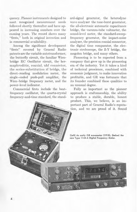quency. Pioneer instruments designed to meet recognized measurement needs followed shortly thereafter and have appeared in increasing numbers over the ensuing years. The record shows many "firsts," both in original invention and in commercial availability.

Among the significant development "firsts" covered by General Radio patents are the variable autotransformer, the butterfly circuit, the familiar Wienbridge RC Oscillator circuit, the hermaphroditic, coaxial, uhf connector, the series-substitution rf bridge, the direct-reading modulation meter, the single-ended push-pull amplifier, the Wien-bridge frequency meter, and the power-level indicator.

Commercial firsts include the beatfrequency oscillator, the quartz-crystal frequency-and-time standard, the standard-signal generator, the heterodyne wave analyzer the tone-burst generator, the all-electronic automatic capacitance bridge, the vacuum-tube voltmeter, the sound-level meter, the standard-sweepfrequency generator, the impact-noise analyzer, the precision coaxial connector, the digital time comparator, the electronic stroboscope, the Z-Y bridge, the megohm bridge, and many others.

Pioneering is to be expected from a company that grew up in the pioneering era of the industry. Yet it takes a kind of technical prescience, combined with economic judgment, to make innovation profitable, and GR was fortunate that its founder combined these qualities to an unusual degree.

Fully as important as the pioneer approach is craftsmanship, the ability to produce a stable, durable, honest product. This, we believe, is an important part of General Radio's reputa tion, and we are proud of it. Sound

(left) An early GR wavemeter (1918); (below) the new Type 1144·A Digital Frequency Meter.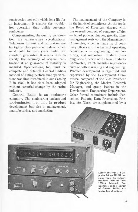construction not only yields long life for an instrument, it ensures the troublefree operation that builds customer confidence.

Complementing the quality construction are conservative specifications. Tolerances for test and calibration are far tighter than published values, which must hold for two years under our standard guarantee. It means little to specify the accuracy of original calibration if no guarantee of stability is included. Specifications, too, must be complete and detailed. General Radio's method of listing performance specifications was first introduced in our Catalog F in 1929; it has since been adopted without essential change by the entire industry.

General Radio is an engineer's company. The engineering background predominates, not only in product development but also in management, manufacturing, and marketing.

O

 $6 - 27$  PF

 $00022$ 

The management of the Company is in the hands of committees. At the top is the Board of Directors, charged with the over-all conduct of company affairs - broad policies, finance, growth. Line management rests with the Management Committee, which is made up of company officers and the heads of operating departments - engineering, manufacturing, and marketing. Product planning is the function of the New Products Committee, which includes representatives of both marketing and engineering. Product development is organized and supervised by the Development Committee, composed of the Vice President for Engineering, the Market Research Manager, and group leaders in the Development Engineering Department. Other formal committees include Personnel, Patents, Data Processing, Pricing, etc. These are supplemented by a

> (Above) The Type 216 Capacity Bridge (1921), for many years the industry standard; (left) the Type 1680-A Automatic Capacitance Bridge, newest of General Radio's extensive line of bridges.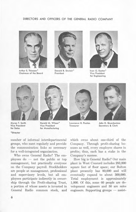## DIRECTORS AND OFFICERS OF THE GENERAL RADIO COMPANY



Arthur E. Thiessen\* Chairman of the Board



Donald B. Sinclair\* President



Ivan G. Easton \* Vice President for Engineering



Myron T. Smith Vice President for Sales

\*Director



Harold M. Wilson\* Vice President for Manufacturing



lawrence H. Pexton **Treasurer** 



John D. Quackenbos Secretary & Clerk

number of informal interdepartmental groups, who meet regularly and provide the communication links so necessary for a well-integrated organization.

Who owns General Radio? The employees  $do$  - not the public or top management, but practically everyone on the Company payroll. Stockholders are people at management, professional and supervisory levels, but all employees participate indirectly· in ownership through the Profit-sharing Trust, a portion of whose assets is invested in General Radio common stock, and which owns about one-third of the Company. Through profit-sharing bonuses as well, every employee shares in profits; thus, each has a stake in the Company's success.

How big is General Radio? Our main plant in West Concord includes 293,000 square feet of floor space; our Bolton plant presently has 80,000 and will eventually expand to about 300,000. Total employment is approximately 1,000. Of this, some 60 people are development engineers and 50 are sales engineers. Supporting groups  $-$  assist